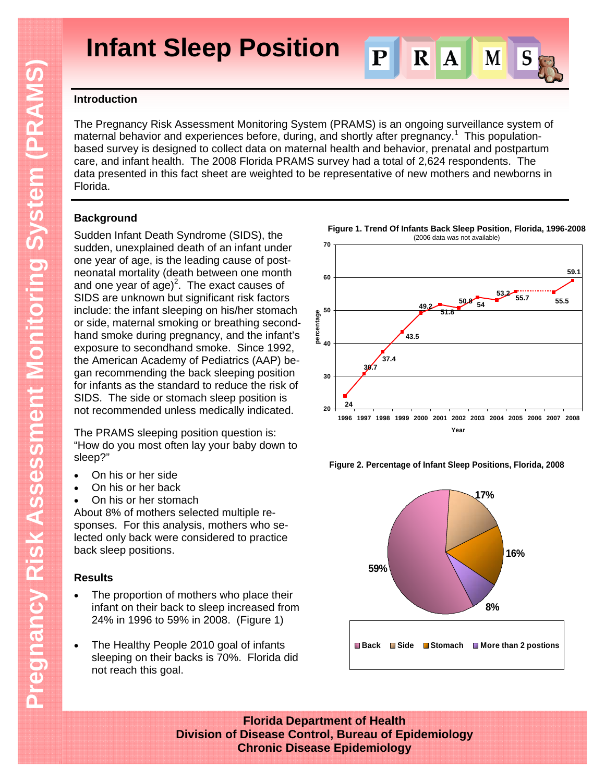**Infant Sleep Position**



## **Introduction**

The Pregnancy Risk Assessment Monitoring System (PRAMS) is an ongoing surveillance system of maternal behavior and experiences before, during, and shortly after pregnancy.<sup>1</sup> This populationbased survey is designed to collect data on maternal health and behavior, prenatal and postpartum care, and infant health. The 2008 Florida PRAMS survey had a total of 2,624 respondents. The data presented in this fact sheet are weighted to be representative of new mothers and newborns in Florida.

# **Background**

Sudden Infant Death Syndrome (SIDS), the sudden, unexplained death of an infant under one year of age, is the leading cause of postneonatal mortality (death between one month and one year of  $ago)^2$ . The exact causes of SIDS are unknown but significant risk factors include: the infant sleeping on his/her stomach or side, maternal smoking or breathing secondhand smoke during pregnancy, and the infant's exposure to secondhand smoke. Since 1992, the American Academy of Pediatrics (AAP) began recommending the back sleeping position for infants as the standard to reduce the risk of SIDS. The side or stomach sleep position is not recommended unless medically indicated.

The PRAMS sleeping position question is: "How do you most often lay your baby down to sleep?"

- On his or her side
- On his or her back
- On his or her stomach

About 8% of mothers selected multiple responses. For this analysis, mothers who selected only back were considered to practice back sleep positions.

## **Results**

- The proportion of mothers who place their infant on their back to sleep increased from 24% in 1996 to 59% in 2008. (Figure 1)
- The Healthy People 2010 goal of infants sleeping on their backs is 70%. Florida did not reach this goal.



**Figure 2. Percentage of Infant Sleep Positions, Florida, 2008**



**Florida Department of Health Division of Disease Control, Bureau of Epidemiology Chronic Disease Epidemiology**